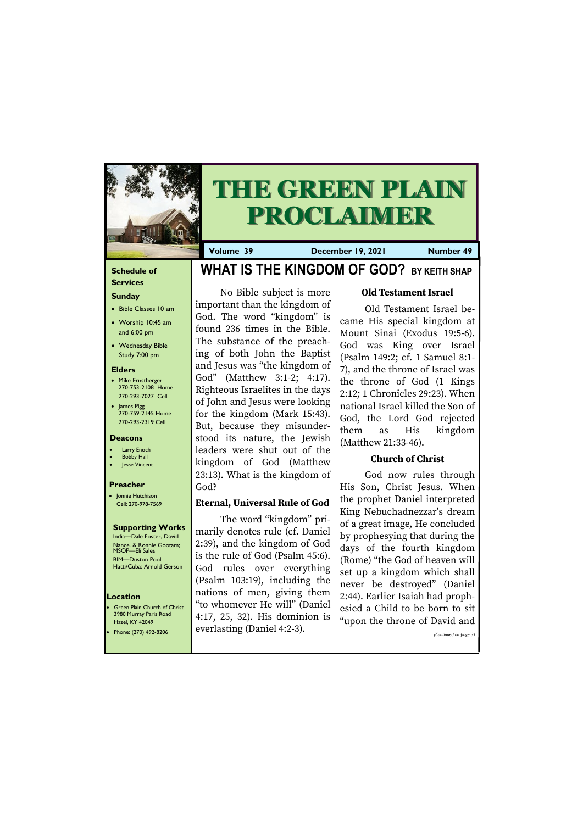#### **Schedule of**

#### **Services Sunday**

- Bible Classes 10 am
- Worship 10:45 am and 6:00 pm
- Wednesday Bible Study 7:00 pm

• Green Plain Church of Christ 3980 Murray Paris Road  $H<sub>220</sub>$  KY 420

#### **Elders**

- Mike Ernstberger 270-753-2108 Home 270-293-7027 Cell
- James Pigg 270-759-2145 Home 270-293-2319 Cell

#### **Location**



# **THE GREEN PLAIN PROCLAIMER**

**Volume 39 December 19, 2021 Number 49**

#### **Deacons**

- **Larry Enoch**
- **Bobby Hall**
- Jesse Vincent

#### **Preacher**

• Jonnie Hutchison Cell: 270-978-7569

#### **Supporting Works**

India—Dale Foster, David Nance. & Ronnie Gootam; MSOP—Eli Sales BIM—Duston Pool. Hatti/Cuba: Arnold Gerson

### **WHAT IS THE KINGDOM OF GOD? BY KEITH SHAP**

No Bible subject is more important than the kingdom of God. The word "kingdom" is found 236 times in the Bible. The substance of the preaching of both John the Baptist and Jesus was "the kingdom of God" (Matthew 3:1-2; 4:17). Righteous Israelites in the days of John and Jesus were looking for the kingdom (Mark 15:43). But, because they misunderstood its nature, the Jewish leaders were shut out of the kingdom of God (Matthew 23:13). What is the kingdom of God?

#### **Eternal, Universal Rule of God**

| HZCI, INI TZUTI<br>Phone: (270) 492-8206 | everlasting (Daniel 4:2-3). | apon the throne of David and $\blacksquare$<br>(Continued on page 3) |
|------------------------------------------|-----------------------------|----------------------------------------------------------------------|
|                                          |                             |                                                                      |

The word "kingdom" primarily denotes rule (cf. Daniel 2:39), and the kingdom of God is the rule of God (Psalm 45:6). God rules over everything (Psalm 103:19), including the nations of men, giving them "to whomever He will" (Daniel 4:17, 25, 32). His dominion is

#### **Old Testament Israel**

Old Testament Israel became His special kingdom at Mount Sinai (Exodus 19:5-6). God was King over Israel (Psalm 149:2; cf. 1 Samuel 8:1- 7), and the throne of Israel was the throne of God (1 Kings 2:12; 1 Chronicles 29:23). When national Israel killed the Son of God, the Lord God rejected them as His kingdom (Matthew 21:33-46).

#### **Church of Christ**

God now rules through His Son, Christ Jesus. When the prophet Daniel interpreted King Nebuchadnezzar's dream of a great image, He concluded by prophesying that during the days of the fourth kingdom (Rome) "the God of heaven will set up a kingdom which shall never be destroyed" (Daniel 2:44). Earlier Isaiah had prophesied a Child to be born to sit "upon the throne of David and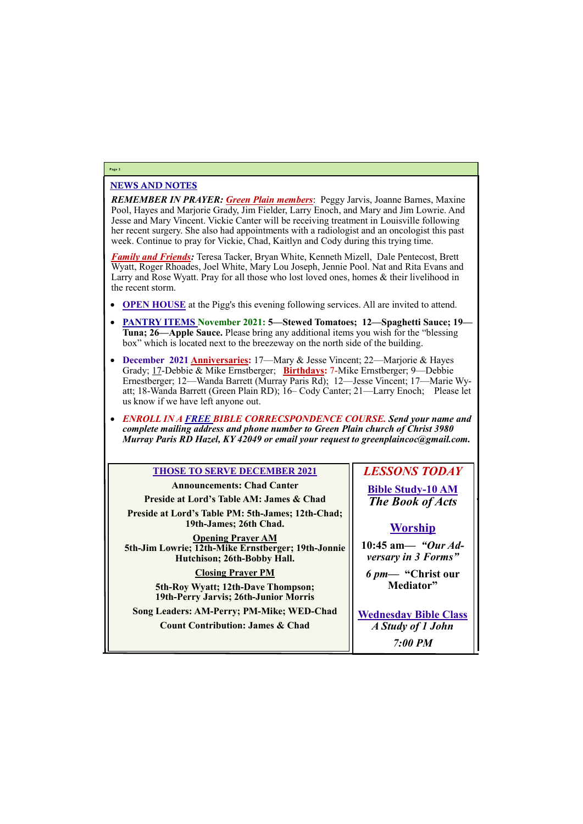#### NEWS AND NOTES

*REMEMBER IN PRAYER: Green Plain members*: Peggy Jarvis, Joanne Barnes, Maxine Pool, Hayes and Marjorie Grady, Jim Fielder, Larry Enoch, and Mary and Jim Lowrie. And Jesse and Mary Vincent. Vickie Canter will be receiving treatment in Louisville following her recent surgery. She also had appointments with a radiologist and an oncologist this past week. Continue to pray for Vickie, Chad, Kaitlyn and Cody during this trying time.

*Family and Friends:* Teresa Tacker, Bryan White, Kenneth Mizell, Dale Pentecost, Brett Wyatt, Roger Rhoades, Joel White, Mary Lou Joseph, Jennie Pool. Nat and Rita Evans and Larry and Rose Wyatt. Pray for all those who lost loved ones, homes & their livelihood in the recent storm.

- **OPEN HOUSE** at the Pigg's this evening following services. All are invited to attend.
- **PANTRY ITEMS November 2021: 5—Stewed Tomatoes; 12—Spaghetti Sauce; 19— Tuna; 26—Apple Sauce.** Please bring any additional items you wish for the "blessing box" which is located next to the breezeway on the north side of the building.
- **December 2021 Anniversaries:** 17—Mary & Jesse Vincent; 22—Marjorie & Hayes Grady; 17-Debbie & Mike Ernstberger; **Birthdays:** 7-Mike Ernstberger; 9—Debbie Ernestberger; 12—Wanda Barrett (Murray Paris Rd); 12—Jesse Vincent; 17—Marie Wyatt; 18-Wanda Barrett (Green Plain RD); 16– Cody Canter; 21—Larry Enoch; Please let us know if we have left anyone out.
- *ENROLL IN A FREE BIBLE CORRECSPONDENCE COURSE. Send your name and complete mailing address and phone number to Green Plain church of Christ 3980 Murray Paris RD Hazel, KY 42049 or email your request to greenplaincoc@gmail.com.*

#### **Page 2**

#### **THOSE TO SERVE DECEMBER 2021**

**Announcements: Chad Canter Preside at Lord's Table AM: James & Chad Preside at Lord's Table PM: 5th-James; 12th-Chad; 19th-James; 26th Chad. Opening Prayer AM**

**5th-Jim Lowrie; 12th-Mike Ernstberger; 19th-Jonnie Hutchison; 26th-Bobby Hall.**

#### **Closing Prayer PM**

**5th-Roy Wyatt; 12th-Dave Thompson; 19th-Perry Jarvis; 26th-Junior Morris**

**Song Leaders: AM-Perry; PM-Mike; WED-Chad**

#### *LESSONS TODAY*

**Bible Study-10 AM** *The Book of Acts*

#### **Worship**

| <b>Count Contribution: James &amp; Chad</b> | A Study of 1 John |
|---------------------------------------------|-------------------|
|                                             | $7:00$ PM         |

**10:45 am***— "Our Adversary in 3 Forms"*

*6 pm***— "Christ our Mediator"**

**Wednesday Bible Class**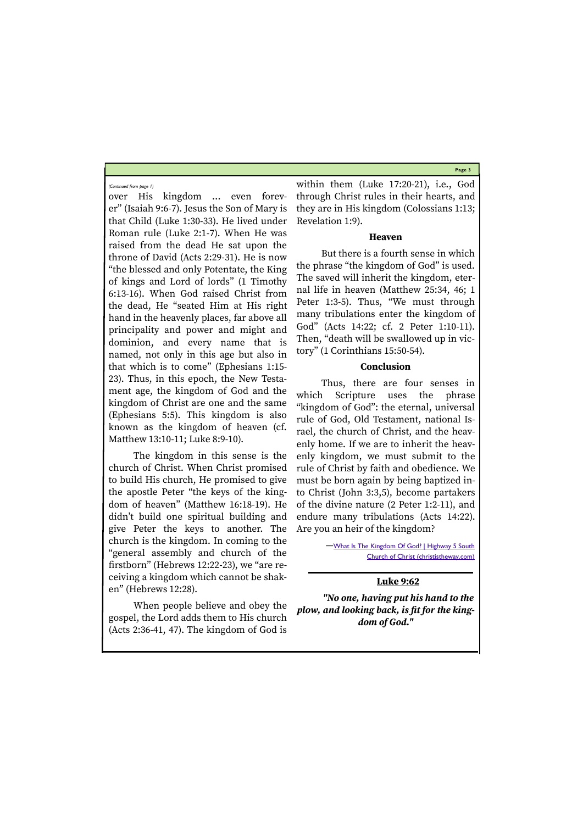**Page 3**

over His kingdom … even forever" (Isaiah 9:6-7). Jesus the Son of Mary is that Child (Luke 1:30-33). He lived under Roman rule (Luke 2:1-7). When He was raised from the dead He sat upon the throne of David (Acts 2:29-31). He is now "the blessed and only Potentate, the King of kings and Lord of lords" (1 Timothy 6:13-16). When God raised Christ from the dead, He "seated Him at His right hand in the heavenly places, far above all principality and power and might and dominion, and every name that is named, not only in this age but also in that which is to come" (Ephesians 1:15- 23). Thus, in this epoch, the New Testament age, the kingdom of God and the kingdom of Christ are one and the same (Ephesians 5:5). This kingdom is also known as the kingdom of heaven (cf. Matthew 13:10-11; Luke 8:9-10).

The kingdom in this sense is the church of Christ. When Christ promised to build His church, He promised to give the apostle Peter "the keys of the kingdom of heaven" (Matthew 16:18-19). He didn't build one spiritual building and give Peter the keys to another. The church is the kingdom. In coming to the "general assembly and church of the firstborn" (Hebrews 12:22-23), we "are receiving a kingdom which cannot be shaken" (Hebrews 12:28).

—[What Is The Kingdom Of God? | Highway 5 South](http://www.christistheway.com/what-is-the-kingdom-of-god/)  [Church of Christ \(christistheway.com\)](http://www.christistheway.com/what-is-the-kingdom-of-god/)

When people believe and obey the gospel, the Lord adds them to His church (Acts 2:36-41, 47). The kingdom of God is

within them (Luke 17:20-21), i.e., God through Christ rules in their hearts, and they are in His kingdom (Colossians 1:13; Revelation 1:9).

#### **Heaven**

But there is a fourth sense in which the phrase "the kingdom of God" is used. The saved will inherit the kingdom, eternal life in heaven (Matthew 25:34, 46; 1 Peter 1:3-5). Thus, "We must through many tribulations enter the kingdom of God" (Acts 14:22; cf. 2 Peter 1:10-11). Then, "death will be swallowed up in victory" (1 Corinthians 15:50-54).

#### **Conclusion**

Thus, there are four senses in which Scripture uses the phrase "kingdom of God": the eternal, universal rule of God, Old Testament, national Israel, the church of Christ, and the heavenly home. If we are to inherit the heavenly kingdom, we must submit to the rule of Christ by faith and obedience. We must be born again by being baptized into Christ (John 3:3,5), become partakers of the divine nature (2 Peter 1:2-11), and endure many tribulations (Acts 14:22). Are you an heir of the kingdom?

#### **Luke 9:62**

*"No one, having put his hand to the plow, and looking back, is fit for the kingdom of God."* 

*(Continued from page 1)*